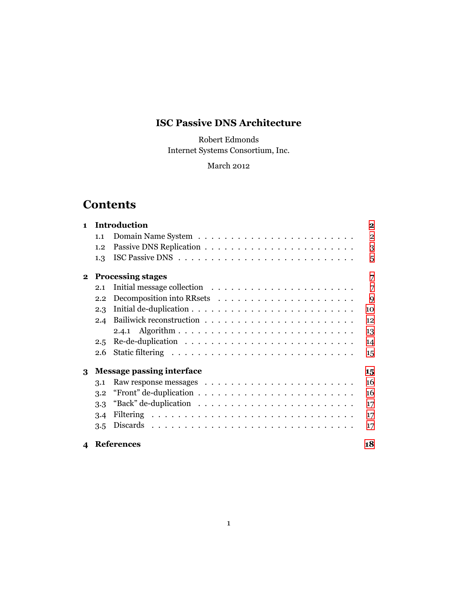# **ISC Passive DNS Architecture**

Robert Edmonds Internet Systems Consortium, Inc.

### March 2012

# **Contents**

| $\blacksquare$             | <b>Introduction</b>                    |                                                                                  |                |  |  |  |
|----------------------------|----------------------------------------|----------------------------------------------------------------------------------|----------------|--|--|--|
|                            | 1.1                                    |                                                                                  | $\overline{2}$ |  |  |  |
|                            | 1.2                                    |                                                                                  | 3              |  |  |  |
|                            | 1.3                                    |                                                                                  | 5              |  |  |  |
| $\mathbf{2}$               |                                        | <b>Processing stages</b>                                                         | 7              |  |  |  |
|                            | 2.1                                    | Initial message collection $\dots \dots \dots \dots \dots \dots \dots \dots$     | 7              |  |  |  |
|                            | 2.2                                    |                                                                                  | 9              |  |  |  |
|                            | 2.3                                    |                                                                                  | 10             |  |  |  |
|                            | $2.4\,$                                |                                                                                  | 12             |  |  |  |
|                            |                                        |                                                                                  | 13             |  |  |  |
|                            | 2.5                                    |                                                                                  | 14             |  |  |  |
|                            | 2.6                                    |                                                                                  | 15             |  |  |  |
| 3                          | <b>Message passing interface</b><br>15 |                                                                                  |                |  |  |  |
|                            | 3.1                                    |                                                                                  | 16             |  |  |  |
|                            | 3.2                                    | "Front" de-duplication $\ldots \ldots \ldots \ldots \ldots \ldots \ldots \ldots$ | 16             |  |  |  |
|                            | 3.3                                    |                                                                                  | 17             |  |  |  |
|                            | 3.4                                    |                                                                                  | 17             |  |  |  |
|                            | 3.5                                    |                                                                                  | 17             |  |  |  |
| $\boldsymbol{\mathcal{A}}$ |                                        | <b>References</b>                                                                | 18             |  |  |  |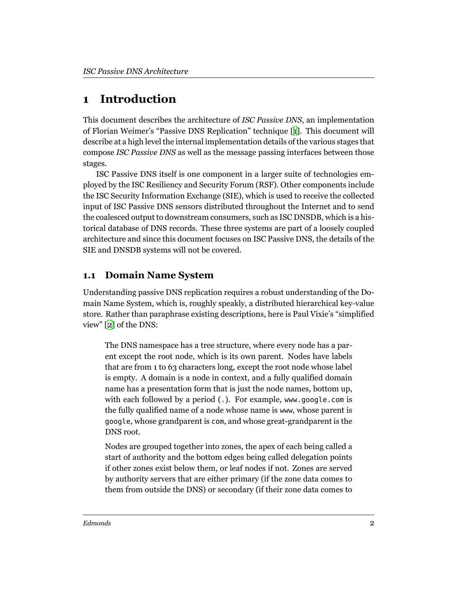# <span id="page-1-0"></span>**1 Introduction**

This document describes the architecture of *ISC Passive DNS*, an implementation of Florian Weimer's "Passive DNS Replication" technique [[1](#page-17-1)]. This document will describe at a high level the internal implementation details of the various stages that compose *ISC Passive DNS* as well as the message passing interfaces between those stages.

ISC Passive DNS itself is one component in a larger suite of technologies employed by the ISC Resiliency and Security Forum (RSF). Other components include the ISC Security Information Exchange (SIE), which is used to receive the collected input of ISC Passive DNS sensors distributed throughout the Internet and to send the coalesced output to downstream consumers, such as ISC DNSDB, which is a historical database of DNS records. These three systems are part of a loosely coupled architecture and since this document focuses on ISC Passive DNS, the details of the SIE and DNSDB systems will not be covered.

## <span id="page-1-1"></span>**1.1 Domain Name System**

Understanding passive DNS replication requires a robust understanding of the Domain Name System, which is, roughly speakly, a distributed hierarchical key-value store. Rather than paraphrase existing descriptions, here is Paul Vixie's "simplified view" [\[2](#page-17-2)] of the DNS:

The DNS namespace has a tree structure, where every node has a parent except the root node, which is its own parent. Nodes have labels that are from 1 to 63 characters long, except the root node whose label is empty. A domain is a node in context, and a fully qualified domain name has a presentation form that is just the node names, bottom up, with each followed by a period (.). For example, www.google.com is the fully qualified name of a node whose name is www, whose parent is google, whose grandparent is com, and whose great-grandparent is the DNS root.

Nodes are grouped together into zones, the apex of each being called a start of authority and the bottom edges being called delegation points if other zones exist below them, or leaf nodes if not. Zones are served by authority servers that are either primary (if the zone data comes to them from outside the DNS) or secondary (if their zone data comes to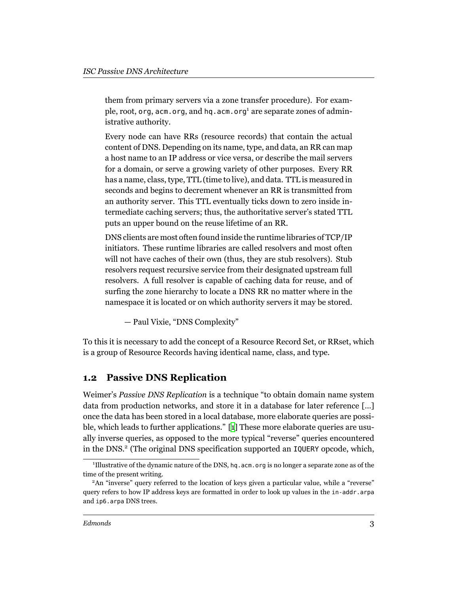them from primary servers via a zone transfer procedure). For example, root, org, acm.org, and hq.acm.org<sup>1</sup> are separate zones of administrative authority.

Every node can have RRs (resource records) that contain the actual content of DNS. Depending on its name, type, and data, an RR can map a host name to an IP address or vice versa, or describe the mail servers for a domain, or serve a growing variety of other purposes. Every RR has a name, class, type, TTL (time to live), and data. TTL is measured in seconds and begins to decrement whenever an RR is transmitted from an authority server. This TTL eventually ticks down to zero inside intermediate caching servers; thus, the authoritative server's stated TTL puts an upper bound on the reuse lifetime of an RR.

DNS clients are most often found inside the runtime libraries of TCP/IP initiators. These runtime libraries are called resolvers and most often will not have caches of their own (thus, they are stub resolvers). Stub resolvers request recursive service from their designated upstream full resolvers. A full resolver is capable of caching data for reuse, and of surfing the zone hierarchy to locate a DNS RR no matter where in the namespace it is located or on which authority servers it may be stored.

— Paul Vixie, "DNS Complexity"

To this it is necessary to add the concept of a Resource Record Set, or RRset, which is a group of Resource Records having identical name, class, and type.

#### <span id="page-2-0"></span>**1.2 Passive DNS Replication**

Weimer's *Passive DNS Replication* is a technique "to obtain domain name system data from production networks, and store it in a database for later reference […] once the data has been stored in a local database, more elaborate queries are possible, which leads to further applications." [[1](#page-17-1)] These more elaborate queries are usually inverse queries, as opposed to the more typical "reverse" queries encountered in the DNS.<sup>2</sup> (The original DNS specification supported an IQUERY opcode, which,

<sup>&</sup>lt;sup>1</sup>Illustrative of the dynamic nature of the DNS, hq.acm.org is no longer a separate zone as of the time of the present writing.

<sup>&</sup>lt;sup>2</sup>An "inverse" query referred to the location of keys given a particular value, while a "reverse" query refers to how IP address keys are formatted in order to look up values in the in-addr.arpa and ip6.arpa DNS trees.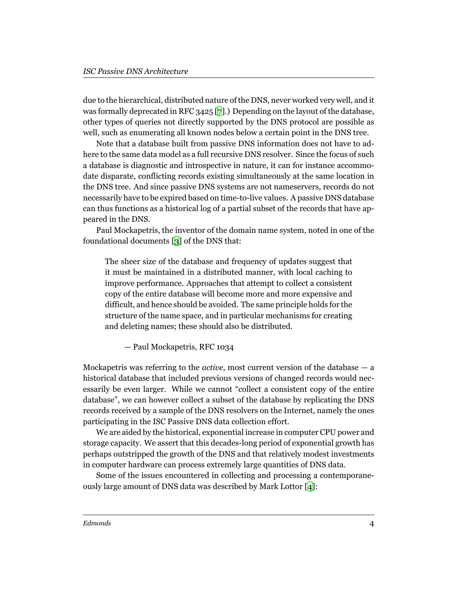due to the hierarchical, distributed nature of the DNS, never worked very well, and it was formally deprecated in RFC 3425 [[7\]](#page-17-3).) Depending on the layout of the database, other types of queries not directly supported by the DNS protocol are possible as well, such as enumerating all known nodes below a certain point in the DNS tree.

Note that a database built from passive DNS information does not have to adhere to the same data model as a full recursive DNS resolver. Since the focus of such a database is diagnostic and introspective in nature, it can for instance accommodate disparate, conflicting records existing simultaneously at the same location in the DNS tree. And since passive DNS systems are not nameservers, records do not necessarily have to be expired based on time-to-live values. A passive DNS database can thus functions as a historical log of a partial subset of the records that have appeared in the DNS.

Paul Mockapetris, the inventor of the domain name system, noted in one of the foundational documents [[3\]](#page-17-4) of the DNS that:

The sheer size of the database and frequency of updates suggest that it must be maintained in a distributed manner, with local caching to improve performance. Approaches that attempt to collect a consistent copy of the entire database will become more and more expensive and difficult, and hence should be avoided. The same principle holds for the structure of the name space, and in particular mechanisms for creating and deleting names; these should also be distributed.

— Paul Mockapetris, RFC 1034

Mockapetris was referring to the *active*, most current version of the database — a historical database that included previous versions of changed records would necessarily be even larger. While we cannot "collect a consistent copy of the entire database", we can however collect a subset of the database by replicating the DNS records received by a sample of the DNS resolvers on the Internet, namely the ones participating in the ISC Passive DNS data collection effort.

We are aided by the historical, exponential increase in computer CPU power and storage capacity. We assert that this decades-long period of exponential growth has perhaps outstripped the growth of the DNS and that relatively modest investments in computer hardware can process extremely large quantities of DNS data.

Some of the issues encountered in collecting and processing a contemporaneously large amount of DNS data was described by Mark Lottor [\[4\]](#page-17-5):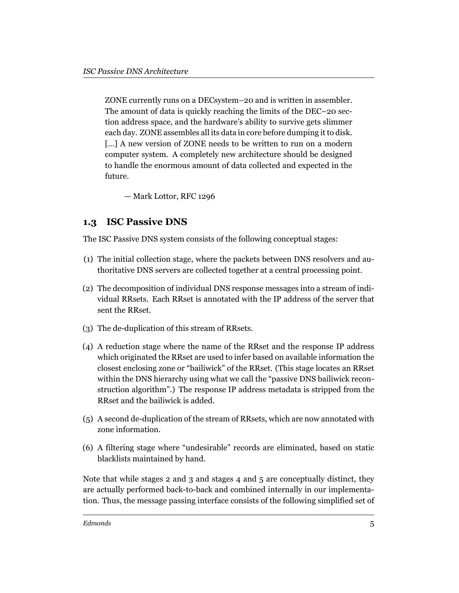ZONE currently runs on a DECsystem–20 and is written in assembler. The amount of data is quickly reaching the limits of the DEC–20 section address space, and the hardware's ability to survive gets slimmer each day. ZONE assembles all its data in core before dumping it to disk. [...] A new version of ZONE needs to be written to run on a modern computer system. A completely new architecture should be designed to handle the enormous amount of data collected and expected in the future.

— Mark Lottor, RFC 1296

### <span id="page-4-0"></span>**1.3 ISC Passive DNS**

The ISC Passive DNS system consists of the following conceptual stages:

- (1) The initial collection stage, where the packets between DNS resolvers and authoritative DNS servers are collected together at a central processing point.
- (2) The decomposition of individual DNS response messages into a stream of individual RRsets. Each RRset is annotated with the IP address of the server that sent the RRset.
- (3) The de-duplication of this stream of RRsets.
- (4) A reduction stage where the name of the RRset and the response IP address which originated the RRset are used to infer based on available information the closest enclosing zone or "bailiwick" of the RRset. (This stage locates an RRset within the DNS hierarchy using what we call the "passive DNS bailiwick reconstruction algorithm".) The response IP address metadata is stripped from the RRset and the bailiwick is added.
- (5) A second de-duplication of the stream of RRsets, which are now annotated with zone information.
- (6) A filtering stage where "undesirable" records are eliminated, based on static blacklists maintained by hand.

Note that while stages 2 and 3 and stages 4 and 5 are conceptually distinct, they are actually performed back-to-back and combined internally in our implementation. Thus, the message passing interface consists of the following simplified set of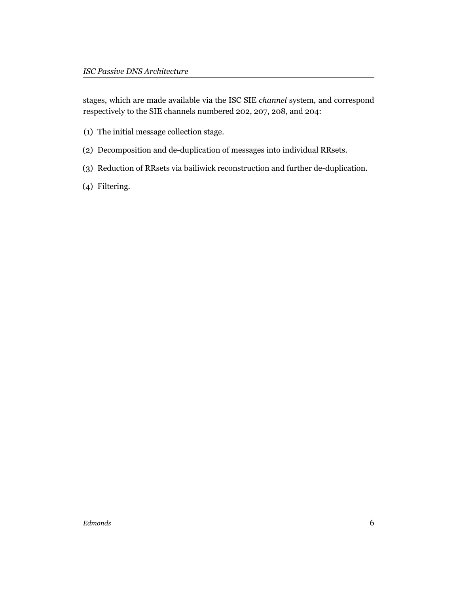stages, which are made available via the ISC SIE *channel* system, and correspond respectively to the SIE channels numbered 202, 207, 208, and 204:

- (1) The initial message collection stage.
- (2) Decomposition and de-duplication of messages into individual RRsets.
- (3) Reduction of RRsets via bailiwick reconstruction and further de-duplication.
- (4) Filtering.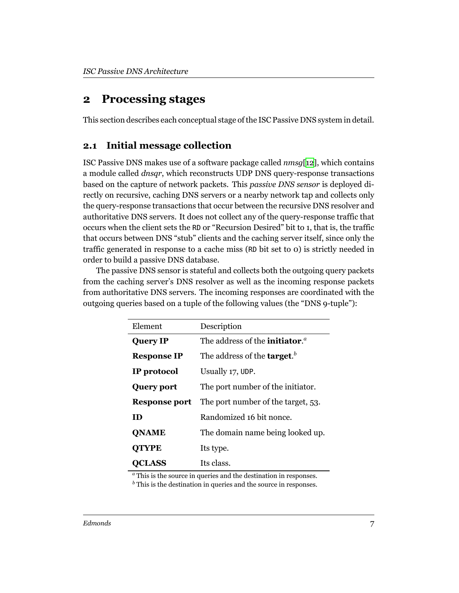# <span id="page-6-0"></span>**2 Processing stages**

This section describes each conceptual stage of the ISC Passive DNS system in detail.

### <span id="page-6-1"></span>**2.1 Initial message collection**

ISC Passive DNS makes use of a software package called *nmsg*[\[12\]](#page-17-6), which contains a module called *dnsqr*, which reconstructs UDP DNS query-response transactions based on the capture of network packets. This *passive DNS sensor* is deployed directly on recursive, caching DNS servers or a nearby network tap and collects only the query-response transactions that occur between the recursive DNS resolver and authoritative DNS servers. It does not collect any of the query-response traffic that occurs when the client sets the RD or "Recursion Desired" bit to 1, that is, the traffic that occurs between DNS "stub" clients and the caching server itself, since only the traffic generated in response to a cache miss (RD bit set to 0) is strictly needed in order to build a passive DNS database.

The passive DNS sensor is stateful and collects both the outgoing query packets from the caching server's DNS resolver as well as the incoming response packets from authoritative DNS servers. The incoming responses are coordinated with the outgoing queries based on a tuple of the following values (the "DNS 9-tuple"):

| Element              | Description                                               |  |
|----------------------|-----------------------------------------------------------|--|
| <b>Query IP</b>      | The address of the <b>initiator</b> . <sup><i>a</i></sup> |  |
| <b>Response IP</b>   | The address of the <b>target</b> . <sup>b</sup>           |  |
| IP protocol          | Usually 17, UDP.                                          |  |
| <b>Query port</b>    | The port number of the initiator.                         |  |
| <b>Response port</b> | The port number of the target, 53.                        |  |
| ID                   | Randomized 16 bit nonce.                                  |  |
| <b>QNAME</b>         | The domain name being looked up.                          |  |
| <b>QTYPE</b>         | Its type.                                                 |  |
| LASS                 | Its class.                                                |  |

*<sup>a</sup>* This is the source in queries and the destination in responses.

*<sup>b</sup>* This is the destination in queries and the source in responses.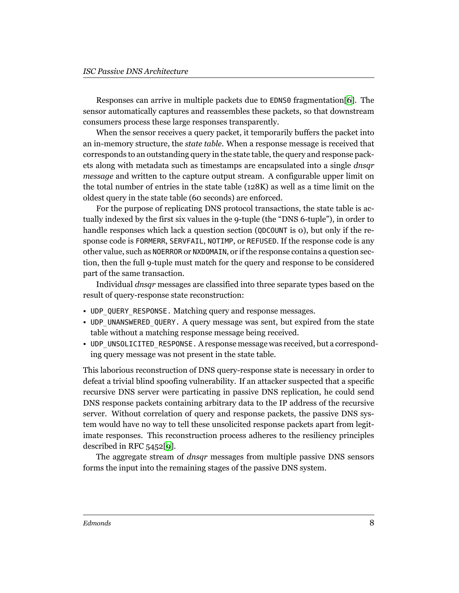Responses can arrive in multiple packets due to EDNS0 fragmentation[\[6](#page-17-7)]. The sensor automatically captures and reassembles these packets, so that downstream consumers process these large responses transparently.

When the sensor receives a query packet, it temporarily buffers the packet into an in-memory structure, the *state table*. When a response message is received that corresponds to an outstanding query in the state table, the query and response packets along with metadata such as timestamps are encapsulated into a single *dnsqr message* and written to the capture output stream. A configurable upper limit on the total number of entries in the state table (128K) as well as a time limit on the oldest query in the state table (60 seconds) are enforced.

For the purpose of replicating DNS protocol transactions, the state table is actually indexed by the first six values in the 9-tuple (the "DNS 6-tuple"), in order to handle responses which lack a question section (QDCOUNT is 0), but only if the response code is FORMERR, SERVFAIL, NOTIMP, or REFUSED. If the response code is any other value, such as NOERROR or NXDOMAIN, or if the response contains a question section, then the full 9-tuple must match for the query and response to be considered part of the same transaction.

Individual *dnsqr* messages are classified into three separate types based on the result of query-response state reconstruction:

- UDP\_QUERY\_RESPONSE. Matching query and response messages.
- UDP\_UNANSWERED\_QUERY. A query message was sent, but expired from the state table without a matching response message being received.
- UDP\_UNSOLICITED\_RESPONSE. A response message was received, but a corresponding query message was not present in the state table.

This laborious reconstruction of DNS query-response state is necessary in order to defeat a trivial blind spoofing vulnerability. If an attacker suspected that a specific recursive DNS server were particating in passive DNS replication, he could send DNS response packets containing arbitrary data to the IP address of the recursive server. Without correlation of query and response packets, the passive DNS system would have no way to tell these unsolicited response packets apart from legitimate responses. This reconstruction process adheres to the resiliency principles described in RFC 5452[[9\]](#page-17-8).

The aggregate stream of *dnsqr* messages from multiple passive DNS sensors forms the input into the remaining stages of the passive DNS system.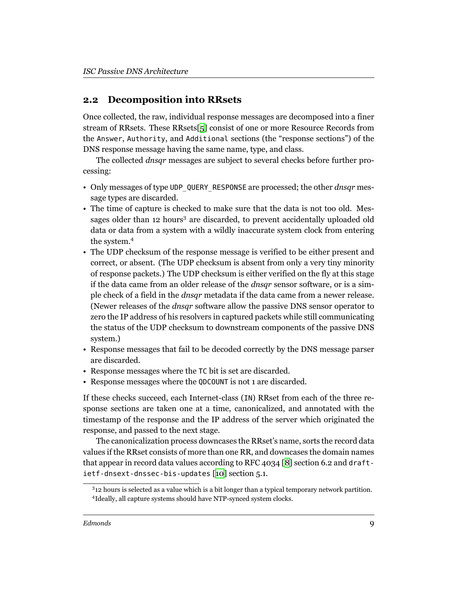### <span id="page-8-0"></span>**2.2 Decomposition into RRsets**

Once collected, the raw, individual response messages are decomposed into a finer stream of RRsets. These RRsets[[5\]](#page-17-9) consist of one or more Resource Records from the Answer, Authority, and Additional sections (the "response sections") of the DNS response message having the same name, type, and class.

The collected *dnsqr* messages are subject to several checks before further processing:

- Only messages of type UDP\_QUERY\_RESPONSE are processed; the other *dnsqr* message types are discarded.
- The time of capture is checked to make sure that the data is not too old. Messages older than 12 hours<sup>3</sup> are discarded, to prevent accidentally uploaded old data or data from a system with a wildly inaccurate system clock from entering the system.<sup>4</sup>
- The UDP checksum of the response message is verified to be either present and correct, or absent. (The UDP checksum is absent from only a very tiny minority of response packets.) The UDP checksum is either verified on the fly at this stage if the data came from an older release of the *dnsqr* sensor software, or is a simple check of a field in the *dnsqr* metadata if the data came from a newer release. (Newer releases of the *dnsqr* software allow the passive DNS sensor operator to zero the IP address of his resolvers in captured packets while still communicating the status of the UDP checksum to downstream components of the passive DNS system.)
- Response messages that fail to be decoded correctly by the DNS message parser are discarded.
- Response messages where the TC bit is set are discarded.
- Response messages where the QDCOUNT is not 1 are discarded.

If these checks succeed, each Internet-class (IN) RRset from each of the three response sections are taken one at a time, canonicalized, and annotated with the timestamp of the response and the IP address of the server which originated the response, and passed to the next stage.

The canonicalization process downcases the RRset's name, sorts the record data values if the RRset consists of more than one RR, and downcases the domain names that appear in record data values according to RFC 4034 [[8](#page-17-10)] section 6.2 and draftietf-dnsext-dnssec-bis-updates [[10\]](#page-17-11) section 5.1.

 $312$  hours is selected as a value which is a bit longer than a typical temporary network partition. 4 Ideally, all capture systems should have NTP-synced system clocks.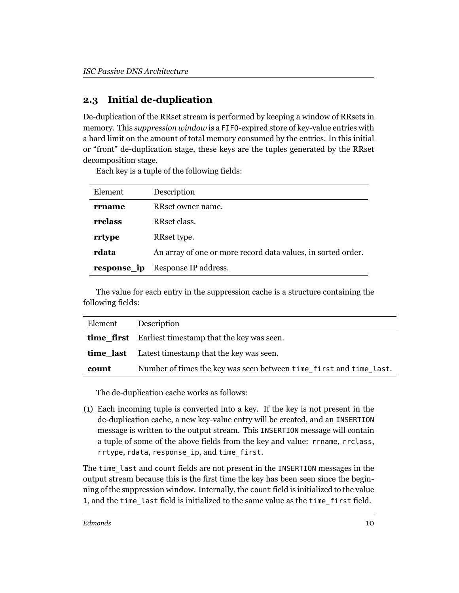## <span id="page-9-0"></span>**2.3 Initial de-duplication**

De-duplication of the RRset stream is performed by keeping a window of RRsets in memory. This *suppression window* is a FIFO-expired store of key-value entries with a hard limit on the amount of total memory consumed by the entries. In this initial or "front" de-duplication stage, these keys are the tuples generated by the RRset decomposition stage.

Each key is a tuple of the following fields:

| Element     | Description                                                  |
|-------------|--------------------------------------------------------------|
| rrname      | RRset owner name.                                            |
| rrclass     | RRset class.                                                 |
| rrtype      | RRset type.                                                  |
| rdata       | An array of one or more record data values, in sorted order. |
| response_ip | Response IP address.                                         |

The value for each entry in the suppression cache is a structure containing the following fields:

| Element | Description                                                        |
|---------|--------------------------------------------------------------------|
|         | <b>time first</b> Earliest timestamp that the key was seen.        |
|         | <b>time_last</b> Latest timestamp that the key was seen.           |
| count   | Number of times the key was seen between time first and time last. |

The de-duplication cache works as follows:

(1) Each incoming tuple is converted into a key. If the key is not present in the de-duplication cache, a new key-value entry will be created, and an INSERTION message is written to the output stream. This INSERTION message will contain a tuple of some of the above fields from the key and value: rrname, rrclass, rrtype, rdata, response\_ip, and time\_first.

The time\_last and count fields are not present in the INSERTION messages in the output stream because this is the first time the key has been seen since the beginning of the suppression window. Internally, the count field is initialized to the value 1, and the time\_last field is initialized to the same value as the time\_first field.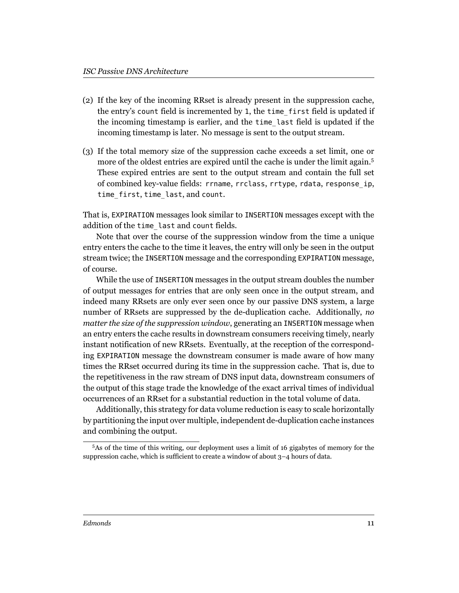- (2) If the key of the incoming RRset is already present in the suppression cache, the entry's count field is incremented by 1, the time\_first field is updated if the incoming timestamp is earlier, and the time\_last field is updated if the incoming timestamp is later. No message is sent to the output stream.
- (3) If the total memory size of the suppression cache exceeds a set limit, one or more of the oldest entries are expired until the cache is under the limit again.<sup>5</sup> These expired entries are sent to the output stream and contain the full set of combined key-value fields: rrname, rrclass, rrtype, rdata, response\_ip, time\_first, time\_last, and count.

That is, EXPIRATION messages look similar to INSERTION messages except with the addition of the time\_last and count fields.

Note that over the course of the suppression window from the time a unique entry enters the cache to the time it leaves, the entry will only be seen in the output stream twice; the INSERTION message and the corresponding EXPIRATION message, of course.

While the use of INSERTION messages in the output stream doubles the number of output messages for entries that are only seen once in the output stream, and indeed many RRsets are only ever seen once by our passive DNS system, a large number of RRsets are suppressed by the de-duplication cache. Additionally, *no matter the size of the suppression window*, generating an INSERTION message when an entry enters the cache results in downstream consumers receiving timely, nearly instant notification of new RRsets. Eventually, at the reception of the corresponding EXPIRATION message the downstream consumer is made aware of how many times the RRset occurred during its time in the suppression cache. That is, due to the repetitiveness in the raw stream of DNS input data, downstream consumers of the output of this stage trade the knowledge of the exact arrival times of individual occurrences of an RRset for a substantial reduction in the total volume of data.

Additionally, this strategy for data volume reduction is easy to scale horizontally by partitioning the input over multiple, independent de-duplication cache instances and combining the output.

<sup>5</sup>As of the time of this writing, our deployment uses a limit of 16 gigabytes of memory for the suppression cache, which is sufficient to create a window of about 3–4 hours of data.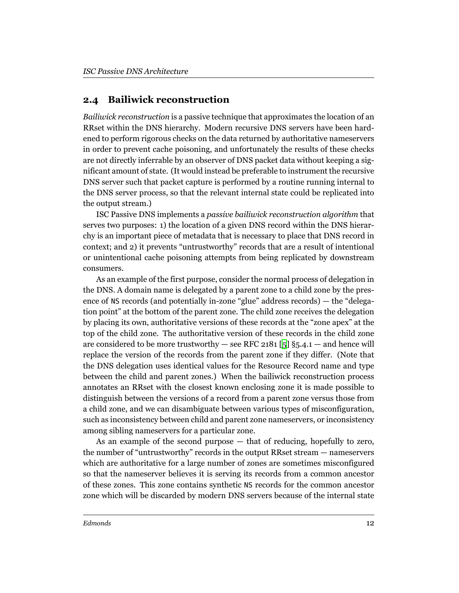#### <span id="page-11-0"></span>**2.4 Bailiwick reconstruction**

*Bailiwick reconstruction* is a passive technique that approximates the location of an RRset within the DNS hierarchy. Modern recursive DNS servers have been hardened to perform rigorous checks on the data returned by authoritative nameservers in order to prevent cache poisoning, and unfortunately the results of these checks are not directly inferrable by an observer of DNS packet data without keeping a significant amount of state. (It would instead be preferable to instrument the recursive DNS server such that packet capture is performed by a routine running internal to the DNS server process, so that the relevant internal state could be replicated into the output stream.)

ISC Passive DNS implements a *passive bailiwick reconstruction algorithm* that serves two purposes: 1) the location of a given DNS record within the DNS hierarchy is an important piece of metadata that is necessary to place that DNS record in context; and 2) it prevents "untrustworthy" records that are a result of intentional or unintentional cache poisoning attempts from being replicated by downstream consumers.

As an example of the first purpose, consider the normal process of delegation in the DNS. A domain name is delegated by a parent zone to a child zone by the presence of NS records (and potentially in-zone "glue" address records) — the "delegation point" at the bottom of the parent zone. The child zone receives the delegation by placing its own, authoritative versions of these records at the "zone apex" at the top of the child zone. The authoritative version of these records in the child zone are considered to be more trustworthy — see RFC 2181 [[5](#page-17-9)]  $\S$ 5.4.1 — and hence will replace the version of the records from the parent zone if they differ. (Note that the DNS delegation uses identical values for the Resource Record name and type between the child and parent zones.) When the bailiwick reconstruction process annotates an RRset with the closest known enclosing zone it is made possible to distinguish between the versions of a record from a parent zone versus those from a child zone, and we can disambiguate between various types of misconfiguration, such as inconsistency between child and parent zone nameservers, or inconsistency among sibling nameservers for a particular zone.

As an example of the second purpose — that of reducing, hopefully to zero, the number of "untrustworthy" records in the output RRset stream — nameservers which are authoritative for a large number of zones are sometimes misconfigured so that the nameserver believes it is serving its records from a common ancestor of these zones. This zone contains synthetic NS records for the common ancestor zone which will be discarded by modern DNS servers because of the internal state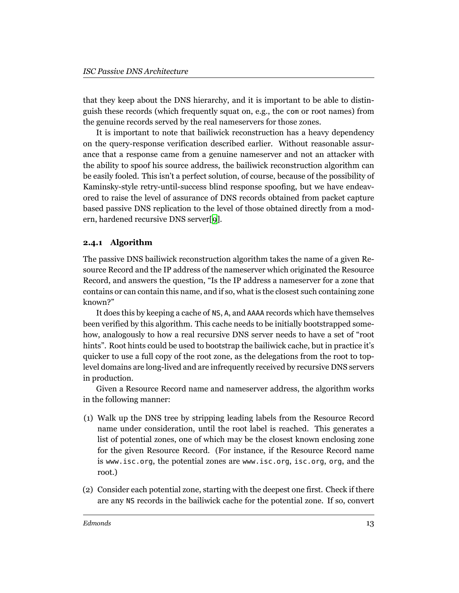that they keep about the DNS hierarchy, and it is important to be able to distinguish these records (which frequently squat on, e.g., the com or root names) from the genuine records served by the real nameservers for those zones.

It is important to note that bailiwick reconstruction has a heavy dependency on the query-response verification described earlier. Without reasonable assurance that a response came from a genuine nameserver and not an attacker with the ability to spoof his source address, the bailiwick reconstruction algorithm can be easily fooled. This isn't a perfect solution, of course, because of the possibility of Kaminsky-style retry-until-success blind response spoofing, but we have endeavored to raise the level of assurance of DNS records obtained from packet capture based passive DNS replication to the level of those obtained directly from a modern, hardened recursive DNS server[\[9](#page-17-8)].

#### <span id="page-12-0"></span>**2.4.1 Algorithm**

The passive DNS bailiwick reconstruction algorithm takes the name of a given Resource Record and the IP address of the nameserver which originated the Resource Record, and answers the question, "Is the IP address a nameserver for a zone that contains or can contain this name, and if so, what is the closest such containing zone known?"

It does this by keeping a cache of NS, A, and AAAA records which have themselves been verified by this algorithm. This cache needs to be initially bootstrapped somehow, analogously to how a real recursive DNS server needs to have a set of "root hints". Root hints could be used to bootstrap the bailiwick cache, but in practice it's quicker to use a full copy of the root zone, as the delegations from the root to toplevel domains are long-lived and are infrequently received by recursive DNS servers in production.

Given a Resource Record name and nameserver address, the algorithm works in the following manner:

- (1) Walk up the DNS tree by stripping leading labels from the Resource Record name under consideration, until the root label is reached. This generates a list of potential zones, one of which may be the closest known enclosing zone for the given Resource Record. (For instance, if the Resource Record name is www.isc.org, the potential zones are www.isc.org, isc.org, org, and the root.)
- (2) Consider each potential zone, starting with the deepest one first. Check if there are any NS records in the bailiwick cache for the potential zone. If so, convert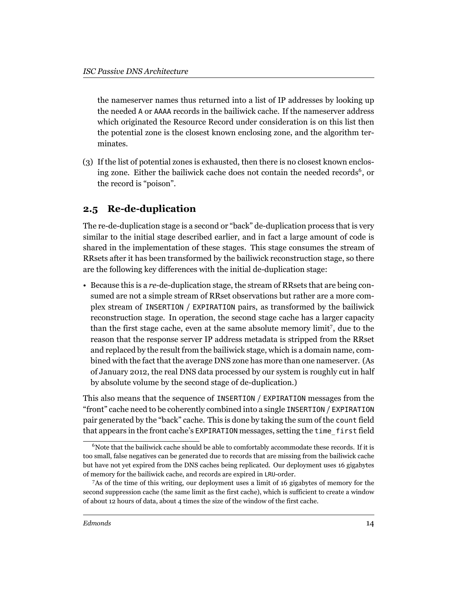the nameserver names thus returned into a list of IP addresses by looking up the needed A or AAAA records in the bailiwick cache. If the nameserver address which originated the Resource Record under consideration is on this list then the potential zone is the closest known enclosing zone, and the algorithm terminates.

(3) If the list of potential zones is exhausted, then there is no closest known enclosing zone. Either the bailiwick cache does not contain the needed records<sup>6</sup>, or the record is "poison".

### <span id="page-13-0"></span>**2.5 Re-de-duplication**

The re-de-duplication stage is a second or "back" de-duplication process that is very similar to the initial stage described earlier, and in fact a large amount of code is shared in the implementation of these stages. This stage consumes the stream of RRsets after it has been transformed by the bailiwick reconstruction stage, so there are the following key differences with the initial de-duplication stage:

• Because this is a *re*-de-duplication stage, the stream of RRsets that are being consumed are not a simple stream of RRset observations but rather are a more complex stream of INSERTION / EXPIRATION pairs, as transformed by the bailiwick reconstruction stage. In operation, the second stage cache has a larger capacity than the first stage cache, even at the same absolute memory limit<sup>7</sup>, due to the reason that the response server IP address metadata is stripped from the RRset and replaced by the result from the bailiwick stage, which is a domain name, combined with the fact that the average DNS zone has more than one nameserver. (As of January 2012, the real DNS data processed by our system is roughly cut in half by absolute volume by the second stage of de-duplication.)

This also means that the sequence of INSERTION / EXPIRATION messages from the "front" cache need to be coherently combined into a single INSERTION / EXPIRATION pair generated by the "back" cache. This is done by taking the sum of the count field that appears in the front cache's EXPIRATION messages, setting the time\_first field

 $6N$  Note that the bailiwick cache should be able to comfortably accommodate these records. If it is too small, false negatives can be generated due to records that are missing from the bailiwick cache but have not yet expired from the DNS caches being replicated. Our deployment uses 16 gigabytes of memory for the bailiwick cache, and records are expired in LRU-order.

<sup>7</sup>As of the time of this writing, our deployment uses a limit of 16 gigabytes of memory for the second suppression cache (the same limit as the first cache), which is sufficient to create a window of about 12 hours of data, about 4 times the size of the window of the first cache.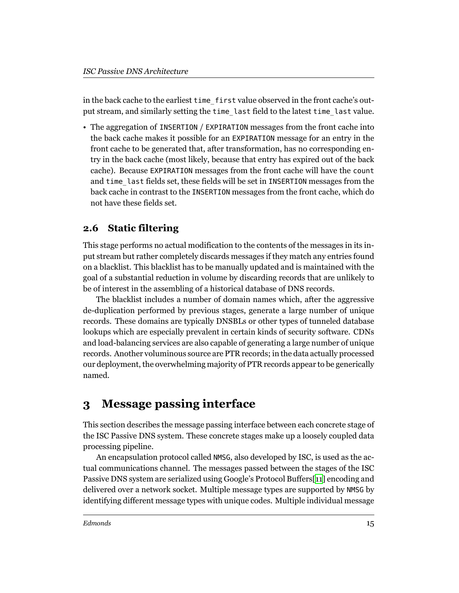in the back cache to the earliest time\_first value observed in the front cache's output stream, and similarly setting the time\_last field to the latest time\_last value.

• The aggregation of INSERTION / EXPIRATION messages from the front cache into the back cache makes it possible for an EXPIRATION message for an entry in the front cache to be generated that, after transformation, has no corresponding entry in the back cache (most likely, because that entry has expired out of the back cache). Because EXPIRATION messages from the front cache will have the count and time\_last fields set, these fields will be set in INSERTION messages from the back cache in contrast to the INSERTION messages from the front cache, which do not have these fields set.

### <span id="page-14-0"></span>**2.6 Static filtering**

This stage performs no actual modification to the contents of the messages in its input stream but rather completely discards messages if they match any entries found on a blacklist. This blacklist has to be manually updated and is maintained with the goal of a substantial reduction in volume by discarding records that are unlikely to be of interest in the assembling of a historical database of DNS records.

The blacklist includes a number of domain names which, after the aggressive de-duplication performed by previous stages, generate a large number of unique records. These domains are typically DNSBLs or other types of tunneled database lookups which are especially prevalent in certain kinds of security software. CDNs and load-balancing services are also capable of generating a large number of unique records. Another voluminous source are PTR records; in the data actually processed our deployment, the overwhelming majority of PTR records appear to be generically named.

# <span id="page-14-1"></span>**3 Message passing interface**

This section describes the message passing interface between each concrete stage of the ISC Passive DNS system. These concrete stages make up a loosely coupled data processing pipeline.

An encapsulation protocol called NMSG, also developed by ISC, is used as the actual communications channel. The messages passed between the stages of the ISC Passive DNS system are serialized using Google's Protocol Buffers[[11](#page-17-12)] encoding and delivered over a network socket. Multiple message types are supported by NMSG by identifying different message types with unique codes. Multiple individual message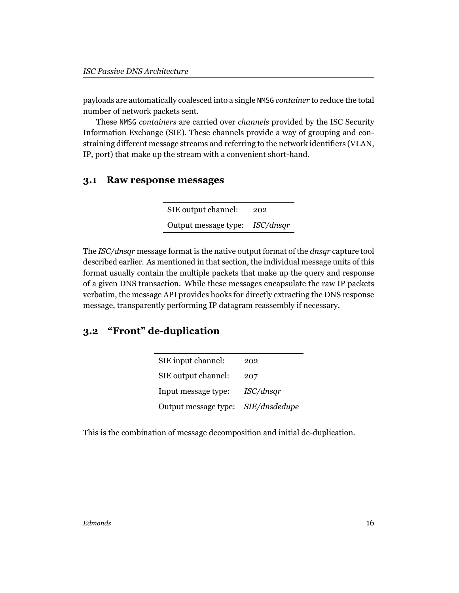payloads are automatically coalesced into a single NMSG *container* to reduce the total number of network packets sent.

These NMSG *containers* are carried over *channels* provided by the ISC Security Information Exchange (SIE). These channels provide a way of grouping and constraining different message streams and referring to the network identifiers (VLAN, IP, port) that make up the stream with a convenient short-hand.

#### <span id="page-15-0"></span>**3.1 Raw response messages**

SIE output channel: 202 Output message type: *ISC/dnsqr*

The *ISC/dnsqr* message format is the native output format of the *dnsqr* capture tool described earlier. As mentioned in that section, the individual message units of this format usually contain the multiple packets that make up the query and response of a given DNS transaction. While these messages encapsulate the raw IP packets verbatim, the message API provides hooks for directly extracting the DNS response message, transparently performing IP datagram reassembly if necessary.

### <span id="page-15-1"></span>**3.2 "Front" de-duplication**

| SIE input channel:   | 202           |
|----------------------|---------------|
| SIE output channel:  | 207           |
| Input message type:  | ISC/dnsqr     |
| Output message type: | SIE/dnsdedupe |

This is the combination of message decomposition and initial de-duplication.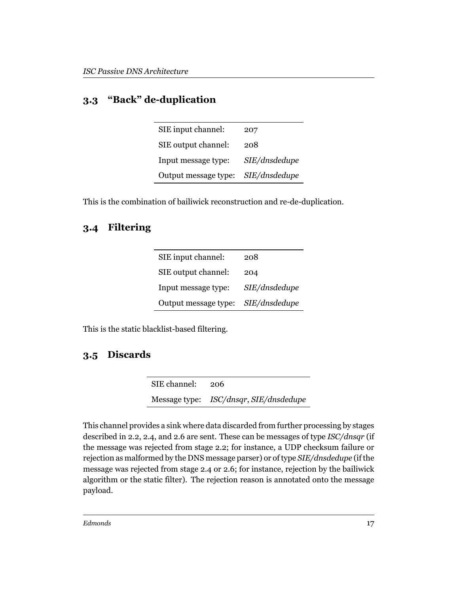## <span id="page-16-0"></span>**3.3 "Back" de-duplication**

| SIE input channel:   | 207           |
|----------------------|---------------|
| SIE output channel:  | 208           |
| Input message type:  | SIE/dnsdedupe |
| Output message type: | SIE/dnsdedupe |

This is the combination of bailiwick reconstruction and re-de-duplication.

## <span id="page-16-1"></span>**3.4 Filtering**

| SIE input channel:   | 208           |
|----------------------|---------------|
| SIE output channel:  | 204           |
| Input message type:  | SIE/dnsdedupe |
| Output message type: | SIE/dnsdedupe |

This is the static blacklist-based filtering.

# <span id="page-16-2"></span>**3.5 Discards**

SIE channel: 206 Message type: *ISC/dnsqr*, *SIE/dnsdedupe*

This channel provides a sink where data discarded from further processing by stages described in 2.2, 2.4, and 2.6 are sent. These can be messages of type *ISC/dnsqr* (if the message was rejected from stage 2.2; for instance, a UDP checksum failure or rejection as malformed by the DNS message parser) or of type *SIE/dnsdedupe* (if the message was rejected from stage 2.4 or 2.6; for instance, rejection by the bailiwick algorithm or the static filter). The rejection reason is annotated onto the message payload.